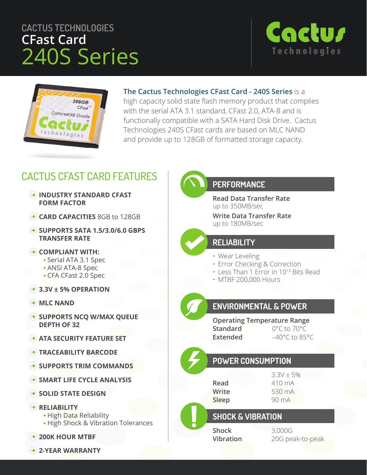# **CACTUS TECHNOLOGIES CFast Card** 240S Series





#### **The Cactus Technologies CFast Card - 240S Series** is a

high capacity solid state flash memory product that complies with the serial ATA 3.1 standard, CFast 2.0, ATA-8 and is functionally compatible with a SATA Hard Disk Drive. Cactus Technologies 240S CFast cards are based on MLC NAND and provide up to 128GB of formatted storage capacity.

# CACTUS CFAST CARD FEATURES

- **INDUSTRY STANDARD CFAST FORM FACTOR**
- **CARD CAPACITIES** 8GB to 128GB
- **SUPPORTS SATA 1.5/3.0/6.0 GBPS TRANSFER RATE**
- **COMPLIANT WITH:**
	- Serial ATA 3.1 Spec
	- ANSI ATA-8 Spec
	- CFA CFast 2.0 Spec
- **3.3V ± 5% OPERATION**
- **MLC NAND**
- **BUPPORTS NCQ W/MAX QUEUE DEPTH OF 32**
- **ATA SECURITY FEATURE SET**
- **TRACEABILITY BARCODE**
- **SUPPORTS TRIM COMMANDS**
- **SMART LIFE CYCLE ANALYSIS**
- **SOLID STATE DESIGN**

#### **RELIABILITY**

- High Data Reliability
- High Shock & Vibration Tolerances
- **200K HOUR MTBF**
- **2-YEAR WARRANTY**

## **PERFORMANCE**

**Read Data Transfer Rate** up to 350MB/sec

**Write Data Transfer Rate** up to 180MB/sec

#### **RELIABILITY**

- Wear Leveling
- Error Checking & Correction
- Less Than 1 Error in 1014 Bits Read
- MTBF 200,000 Hours

## **ENVIRONMENTAL & POWER**

**Operating Temperature Range Standard** 0°C to 70°C Extended -40°C to 85°C

## **POWER CONSUMPTION**

 $3.3V \pm 5%$ **Read** 410 mA **Write** 530 mA **Sleep** 90 mA

## **SHOCK & VIBRATION**

**Shock** 3,000G

**Vibration** 20G peak-to-peak